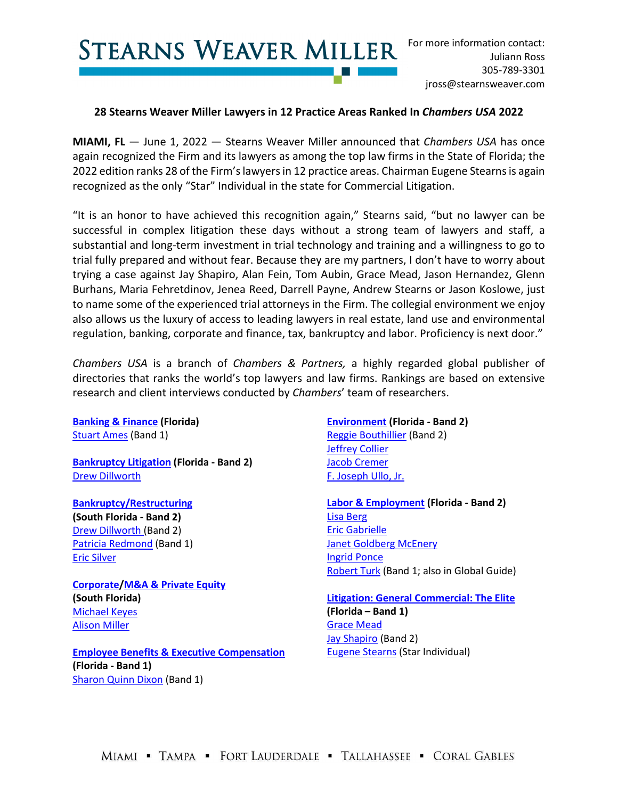**STEARNS WEAVER MILLER** 

## **28 Stearns Weaver Miller Lawyers in 12 Practice Areas Ranked In** *Chambers USA* **2022**

**MIAMI, FL** — June 1, 2022 — Stearns Weaver Miller announced that *Chambers USA* has once again recognized the Firm and its lawyers as among the top law firms in the State of Florida; the 2022 edition ranks 28 of the Firm's lawyers in 12 practice areas. Chairman Eugene Stearns is again recognized as the only "Star" Individual in the state for Commercial Litigation.

"It is an honor to have achieved this recognition again," Stearns said, "but no lawyer can be successful in complex litigation these days without a strong team of lawyers and staff, a substantial and long-term investment in trial technology and training and a willingness to go to trial fully prepared and without fear. Because they are my partners, I don't have to worry about trying a case against Jay Shapiro, Alan Fein, Tom Aubin, Grace Mead, Jason Hernandez, Glenn Burhans, Maria Fehretdinov, Jenea Reed, Darrell Payne, Andrew Stearns or Jason Koslowe, just to name some of the experienced trial attorneys in the Firm. The collegial environment we enjoy also allows us the luxury of access to leading lawyers in real estate, land use and environmental regulation, banking, corporate and finance, tax, bankruptcy and labor. Proficiency is next door."

*Chambers USA* is a branch of *Chambers & Partners,* a highly regarded global publisher of directories that ranks the world's top lawyers and law firms. Rankings are based on extensive research and client interviews conducted by *Chambers*' team of researchers.

**[Banking & Finance](http://www.stearnsweaver.com/practices/banking-financial-institutions/) (Florida)** [Stuart Ames](https://www.stearnsweaver.com/attorneys/stuart-ames/) (Band 1)

**[Bankruptcy Litigation](https://www.stearnsweaver.com/practices/bankruptcy-creditors-rights/) (Florida - Band 2)** [Drew Dillworth](https://www.stearnsweaver.com/attorneys/drew-dillworth/)

**[Bankruptcy/Restructuring](https://www.stearnsweaver.com/practices/bankruptcy-creditors-rights/) (South Florida - Band 2)** [Drew Dillworth \(](https://www.stearnsweaver.com/attorneys/drew-dillworth/)Band 2) [Patricia Redmond](https://www.stearnsweaver.com/attorneys/patricia-ann-redmond/) (Band 1) [Eric Silver](https://www.stearnsweaver.com/attorneys/eric-silver/) 

**[Corporate](https://www.stearnsweaver.com/practices/corporate-law/)[/M&A & Private Equity](https://www.stearnsweaver.com/practices/mergers-acquisitions/) (South Florida)** [Michael Keyes](https://www.stearnsweaver.com/attorneys/michael-keyes/) [Alison Miller](https://www.stearnsweaver.com/attorneys/alison-miller/) 

**[Employee Benefits & Executive Compensation](https://www.stearnsweaver.com/practices/labor-employment-law/) (Florida - Band 1)** [Sharon Quinn Dixon](https://www.stearnsweaver.com/attorneys/sharon-quinn-dixon/) (Band 1)

**[Environment](https://www.stearnsweaver.com/practices/land-development-zoning-environmental-law/natural-resources/) (Florida - Band 2)** [Reggie Bouthillier](https://www.stearnsweaver.com/attorneys/reggie-bouthillier/) (Band 2) [Jeffrey Collier](https://www.stearnsweaver.com/attorneys/jeffrey-collier/) [Jacob Cremer](https://www.stearnsweaver.com/attorneys/jacob-cremer/) [F. Joseph Ullo, Jr.](https://www.stearnsweaver.com/attorneys/joseph-ullo/)

**[Labor & Employment](https://www.stearnsweaver.com/practices/labor-employment-law/) (Florida - Band 2)** [Lisa Berg](https://www.stearnsweaver.com/attorneys/lisa-berg/) [Eric Gabrielle](https://www.stearnsweaver.com/attorneys/eric-gabrielle/) [Janet Goldberg McEnery](https://www.stearnsweaver.com/attorneys/janet-goldberg-mcenery/) [Ingrid Ponce](https://www.stearnsweaver.com/attorneys/ingrid-ponce/) [Robert Turk](https://www.stearnsweaver.com/attorneys/robert-turk/) (Band 1; also in Global Guide)

**[Litigation: General Commercial: The Elite](https://www.stearnsweaver.com/practices/litigation-dispute-resolution/) (Florida – Band 1)** [Grace Mead](https://www.stearnsweaver.com/attorneys/grace-mead/) [Jay Shapiro](https://www.stearnsweaver.com/attorneys/jay-shapiro/) (Band 2) [Eugene Stearns](https://www.stearnsweaver.com/attorneys/eugene-stearns/) (Star Individual)